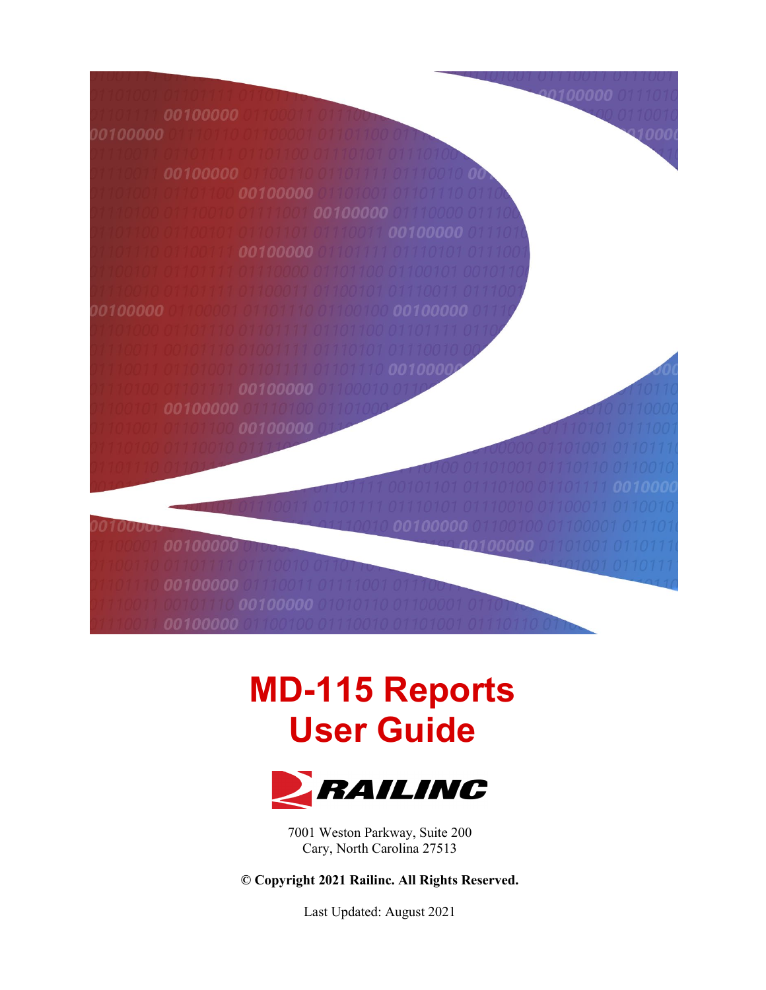oo1ooooo

# **MD-115 Reports User Guide**



7001 Weston Parkway, Suite 200 Cary, North Carolina 27513

**© Copyright 2021 Railinc. All Rights Reserved.**

Last Updated: August 2021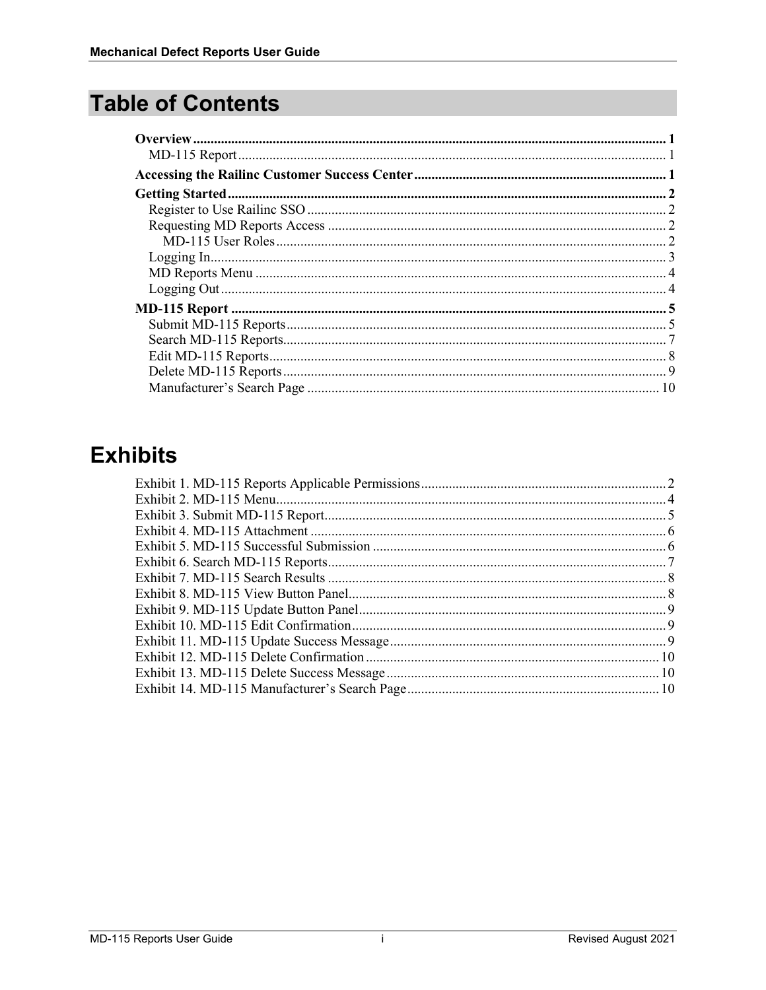# **Table of Contents**

# **Exhibits**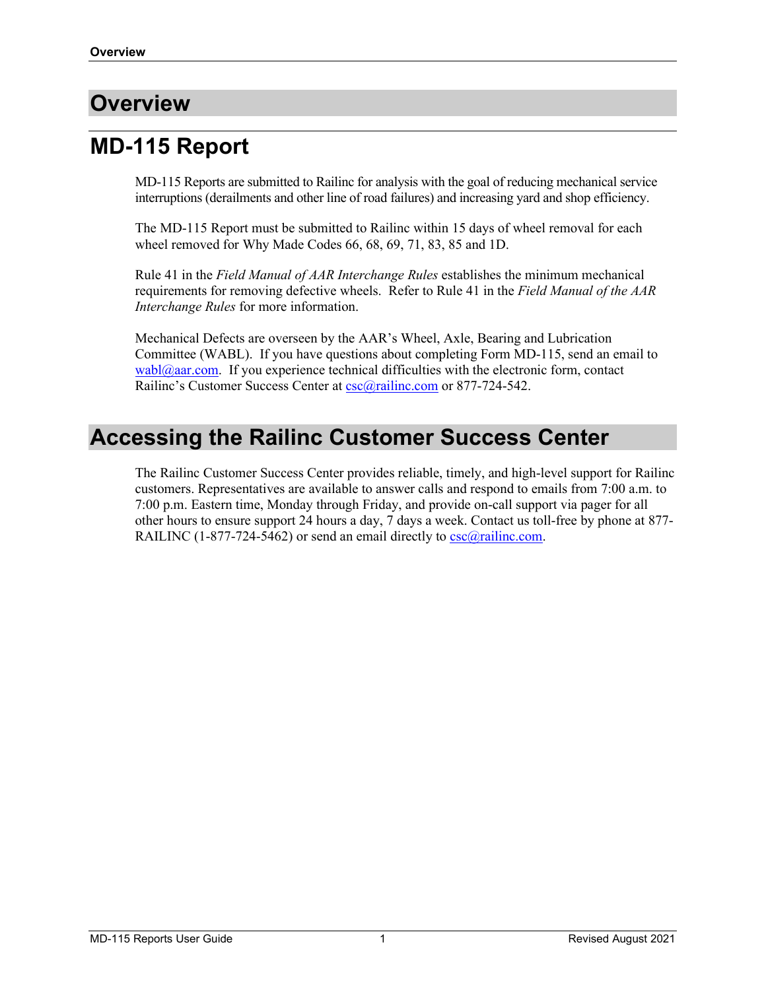# <span id="page-2-0"></span>**Overview**

# <span id="page-2-1"></span>**MD-115 Report**

MD-115 Reports are submitted to Railinc for analysis with the goal of reducing mechanical service interruptions (derailments and other line of road failures) and increasing yard and shop efficiency.

The MD-115 Report must be submitted to Railinc within 15 days of wheel removal for each wheel removed for Why Made Codes 66, 68, 69, 71, 83, 85 and 1D.

Rule 41 in the *Field Manual of AAR Interchange Rules* establishes the minimum mechanical requirements for removing defective wheels. Refer to Rule 41 in the *Field Manual of the AAR Interchange Rules* for more information.

Mechanical Defects are overseen by the AAR's Wheel, Axle, Bearing and Lubrication Committee (WABL). If you have questions about completing Form MD-115, send an email to  $wabl@aar.com$ . If you experience technical difficulties with the electronic form, contact Railinc's Customer Success Center at [csc@railinc.com](mailto:csc@railinc.com) or 877-724-542.

# <span id="page-2-2"></span>**Accessing the Railinc Customer Success Center**

The Railinc Customer Success Center provides reliable, timely, and high-level support for Railinc customers. Representatives are available to answer calls and respond to emails from 7:00 a.m. to 7:00 p.m. Eastern time, Monday through Friday, and provide on-call support via pager for all other hours to ensure support 24 hours a day, 7 days a week. Contact us toll-free by phone at 877- RAILINC (1-877-724-5462) or send an email directly to  $\frac{\csc(a)}{r \cdot a}$  inc.com.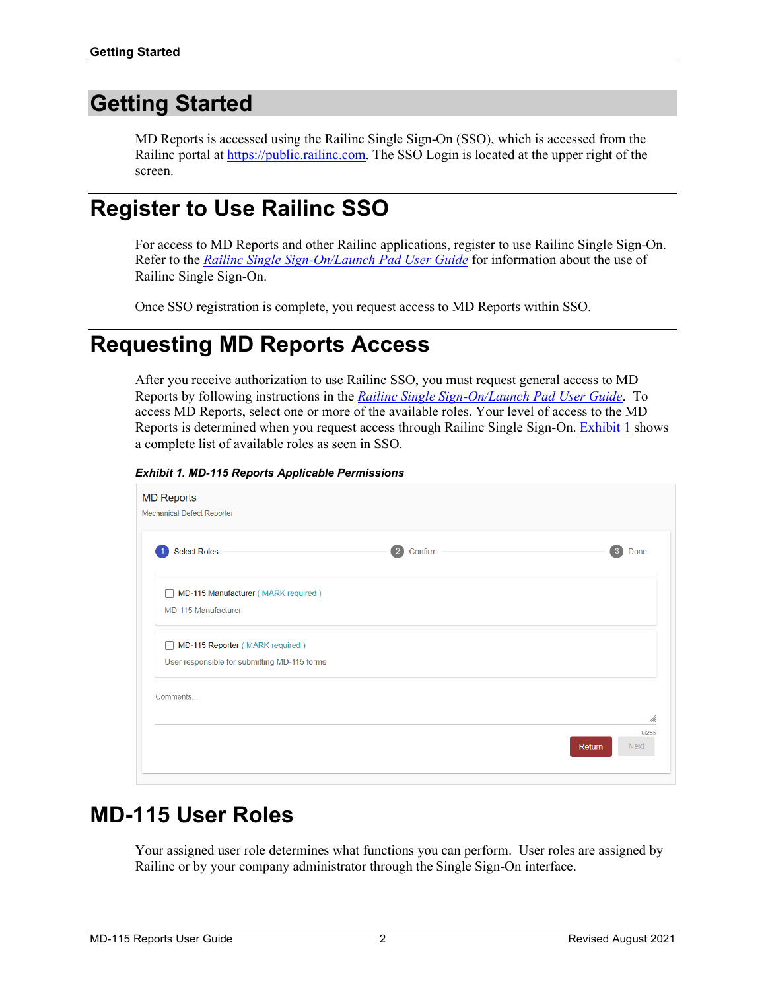# <span id="page-3-0"></span>**Getting Started**

MD Reports is accessed using the Railinc Single Sign-On (SSO), which is accessed from the Railinc portal a[t https://public.railinc.com.](https://public.railinc.com/) The SSO Login is located at the upper right of the screen.

# <span id="page-3-1"></span>**Register to Use Railinc SSO**

For access to MD Reports and other Railinc applications, register to use Railinc Single Sign-On. Refer to the *[Railinc Single Sign-On/Launch Pad User Guide](https://public.railinc.com/sites/default/files/documents/SSOUserGuide.pdf)* for information about the use of Railinc Single Sign-On.

Once SSO registration is complete, you request access to MD Reports within SSO.

# <span id="page-3-2"></span>**Requesting MD Reports Access**

After you receive authorization to use Railinc SSO, you must request general access to MD Reports by following instructions in the *[Railinc Single Sign-On/Launch Pad User Guide](https://public.railinc.com/sites/default/files/documents/SSOUserGuide.pdf)*. To access MD Reports, select one or more of the available roles. Your level of access to the MD Reports is determined when you request access through Railinc Single Sign-On. [Exhibit 1](#page-3-4) shows a complete list of available roles as seen in SSO.

<span id="page-3-4"></span>*Exhibit 1. MD-115 Reports Applicable Permissions*

| <b>MD Reports</b><br><b>Mechanical Defect Reporter</b>                                          |                                |
|-------------------------------------------------------------------------------------------------|--------------------------------|
| <b>Select Roles</b><br>Confirm                                                                  | 3<br>Done                      |
| MD-115 Manufacturer (MARK required)<br>$\mathbf{1}$<br><b>MD-115 Manufacturer</b>               |                                |
| MD-115 Reporter (MARK required)<br>$\mathbf{L}$<br>User responsible for submitting MD-115 forms |                                |
| Comments                                                                                        | /h.                            |
|                                                                                                 | 0/255<br><b>Next</b><br>Return |

# <span id="page-3-3"></span>**MD-115 User Roles**

Your assigned user role determines what functions you can perform. User roles are assigned by Railinc or by your company administrator through the Single Sign-On interface.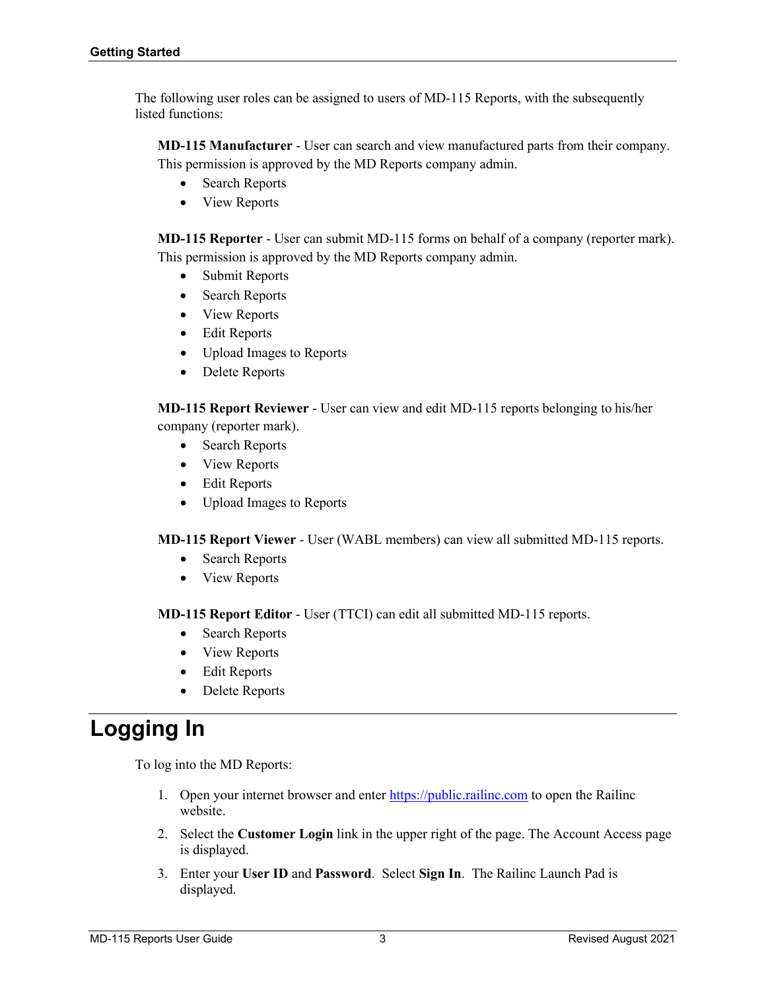The following user roles can be assigned to users of MD-115 Reports, with the subsequently listed functions:

**MD-115 Manufacturer** - User can search and view manufactured parts from their company. This permission is approved by the MD Reports company admin.

- Search Reports
- View Reports

**MD-115 Reporter** - User can submit MD-115 forms on behalf of a company (reporter mark). This permission is approved by the MD Reports company admin.

- Submit Reports
- Search Reports
- View Reports
- Edit Reports
- Upload Images to Reports
- Delete Reports

**MD-115 Report Reviewer** - User can view and edit MD-115 reports belonging to his/her company (reporter mark).

- Search Reports
- View Reports
- Edit Reports
- Upload Images to Reports

**MD-115 Report Viewer** - User (WABL members) can view all submitted MD-115 reports.

- Search Reports
- View Reports

**MD-115 Report Editor** - User (TTCI) can edit all submitted MD-115 reports.

- Search Reports
- View Reports
- Edit Reports
- Delete Reports

# <span id="page-4-0"></span>**Logging In**

To log into the MD Reports:

- 1. Open your internet browser and enter [https://public.railinc.com](https://public.railinc.com/) to open the Railinc website.
- 2. Select the **Customer Login** link in the upper right of the page. The Account Access page is displayed.
- 3. Enter your **User ID** and **Password**. Select **Sign In**. The Railinc Launch Pad is displayed.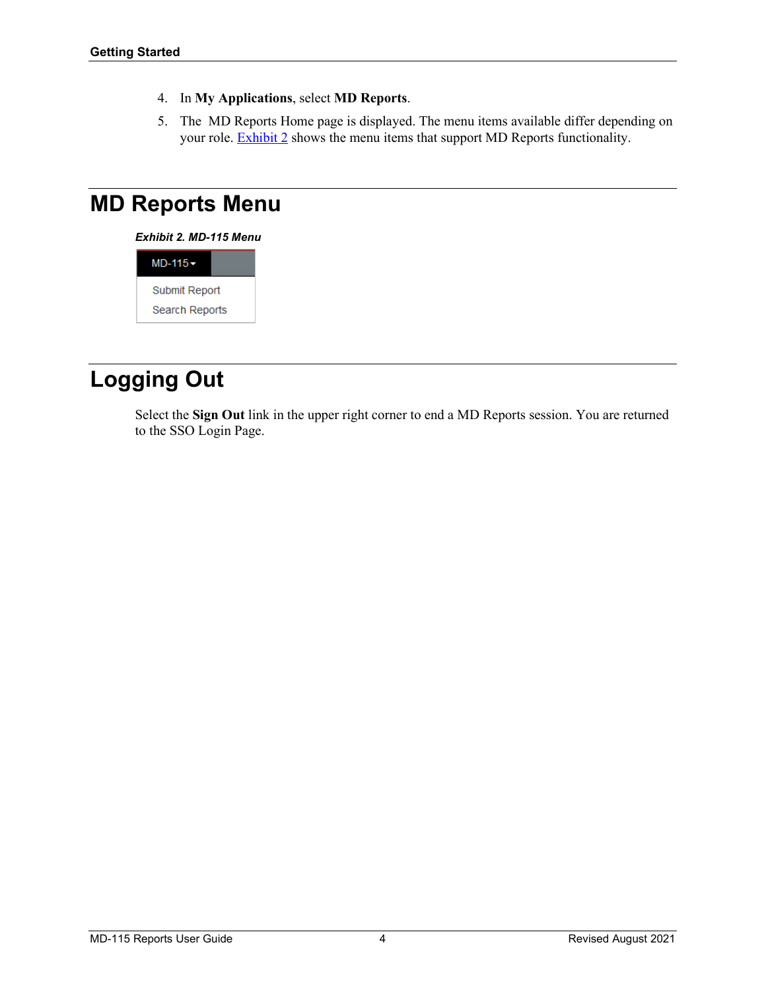- 4. In **My Applications**, select **MD Reports**.
- 5. The MD Reports Home page is displayed. The menu items available differ depending on your role. **Exhibit 2** shows the menu items that support MD Reports functionality.

# <span id="page-5-2"></span><span id="page-5-0"></span>**MD Reports Menu**

*Exhibit 2. MD-115 Menu*



# <span id="page-5-1"></span>**Logging Out**

Select the **Sign Out** link in the upper right corner to end a MD Reports session. You are returned to the SSO Login Page.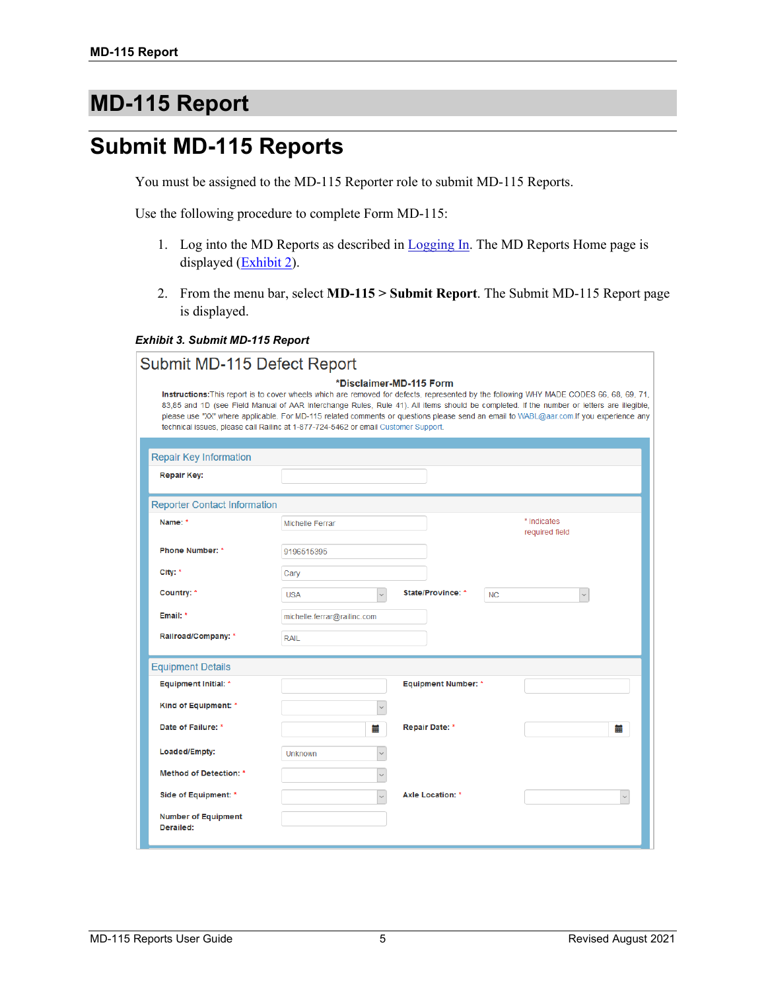# <span id="page-6-0"></span>**MD-115 Report**

## <span id="page-6-1"></span>**Submit MD-115 Reports**

You must be assigned to the MD-115 Reporter role to submit MD-115 Reports.

Use the following procedure to complete Form MD-115:

- 1. Log into the MD Reports as described in [Logging In.](#page-4-0) The MD Reports Home page is displayed [\(Exhibit 2\)](#page-5-2).
- 2. From the menu bar, select **MD-115 > Submit Report**. The Submit MD-115 Report page is displayed.

#### <span id="page-6-2"></span>*Exhibit 3. Submit MD-115 Report*

Submit MD-115 Defect Report

| *Disclaimer-MD-115 Form                                                                                                                   |  |  |  |  |  |
|-------------------------------------------------------------------------------------------------------------------------------------------|--|--|--|--|--|
| Instructions: This report is to cover wheels which are removed for defects, represented by the following WHY MADE CODES 66, 68, 69, 71,   |  |  |  |  |  |
| 83,85 and 1D (see Field Manual of AAR Interchange Rules, Rule 41). All items should be completed. If the number or letters are illegible, |  |  |  |  |  |
| please use "XX" where applicable. For MD-115 related comments or questions please send an email to WABL@aar.com.If you experience any     |  |  |  |  |  |
| technical issues, please call Railinc at 1-877-724-5462 or email Customer Support.                                                        |  |  |  |  |  |

| <b>Repair Key Information</b>           |                                                                              |
|-----------------------------------------|------------------------------------------------------------------------------|
| <b>Repair Key:</b>                      |                                                                              |
| <b>Reporter Contact Information</b>     |                                                                              |
| Name: *                                 | * Indicates<br>Michelle Ferrar<br>required field                             |
| <b>Phone Number: *</b>                  | 9196515395                                                                   |
| City: *                                 | Cary                                                                         |
| Country: *                              | State/Province: *<br><b>USA</b><br><b>NC</b><br>$\checkmark$<br>$\checkmark$ |
| Email: *                                | michelle.ferrar@railinc.com                                                  |
| Railroad/Company: *                     | <b>RAIL</b>                                                                  |
| <b>Equipment Details</b>                |                                                                              |
| <b>Equipment Initial: *</b>             | <b>Equipment Number: *</b>                                                   |
| Kind of Equipment: *                    | $\checkmark$                                                                 |
| Date of Failure: *                      | <b>Repair Date: *</b><br>盖<br>m                                              |
| Loaded/Empty:                           | <b>Unknown</b><br>$\checkmark$                                               |
| <b>Method of Detection: *</b>           | $\checkmark$                                                                 |
| Side of Equipment: *                    | <b>Axle Location: *</b><br>$\vee$<br>$\checkmark$                            |
| <b>Number of Equipment</b><br>Derailed: |                                                                              |
|                                         |                                                                              |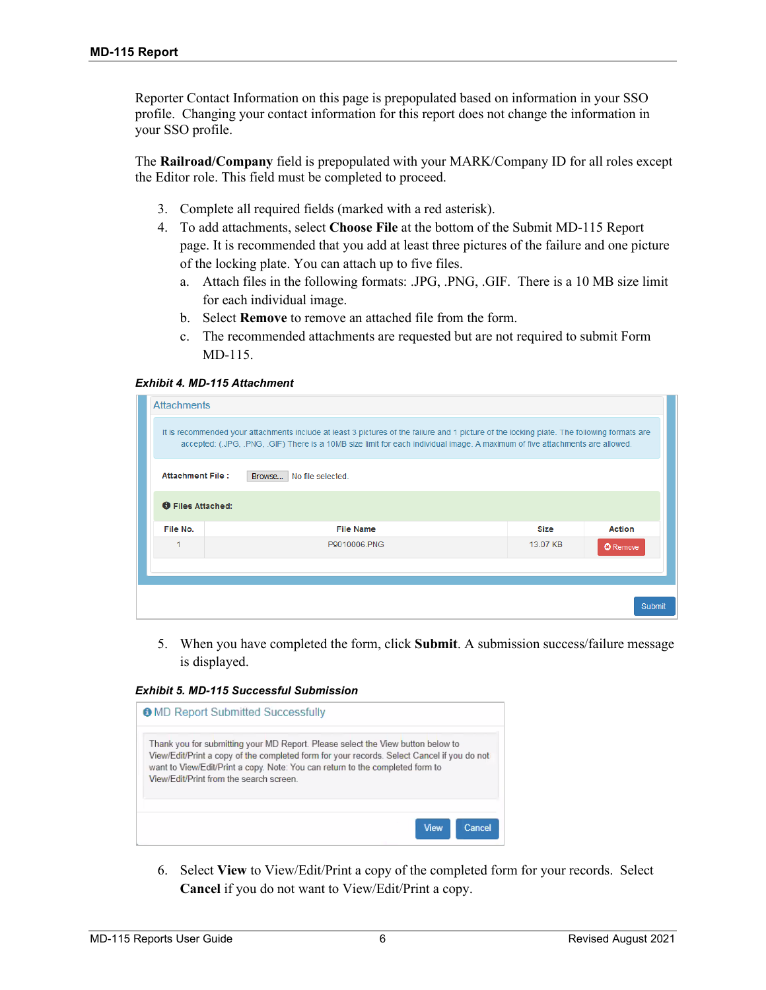Reporter Contact Information on this page is prepopulated based on information in your SSO profile. Changing your contact information for this report does not change the information in your SSO profile.

The **Railroad/Company** field is prepopulated with your MARK/Company ID for all roles except the Editor role. This field must be completed to proceed.

- 3. Complete all required fields (marked with a red asterisk).
- 4. To add attachments, select **Choose File** at the bottom of the Submit MD-115 Report page. It is recommended that you add at least three pictures of the failure and one picture of the locking plate. You can attach up to five files.
	- a. Attach files in the following formats: .JPG, .PNG, .GIF. There is a 10 MB size limit for each individual image.
	- b. Select **Remove** to remove an attached file from the form.
	- c. The recommended attachments are requested but are not required to submit Form MD-115.

<span id="page-7-0"></span>*Exhibit 4. MD-115 Attachment*

| <b>Attachments</b>                                                                                                                                                                                                                                                        |                          |             |                 |  |  |  |  |
|---------------------------------------------------------------------------------------------------------------------------------------------------------------------------------------------------------------------------------------------------------------------------|--------------------------|-------------|-----------------|--|--|--|--|
| It is recommended your attachments include at least 3 pictures of the failure and 1 picture of the locking plate. The following formats are<br>accepted: (JPG, PNG, GIF) There is a 10MB size limit for each individual image. A maximum of five attachments are allowed. |                          |             |                 |  |  |  |  |
| <b>Attachment File:</b>                                                                                                                                                                                                                                                   | Browse No file selected. |             |                 |  |  |  |  |
| <b>O</b> Files Attached:                                                                                                                                                                                                                                                  |                          |             |                 |  |  |  |  |
| File No.                                                                                                                                                                                                                                                                  | <b>File Name</b>         | <b>Size</b> | <b>Action</b>   |  |  |  |  |
|                                                                                                                                                                                                                                                                           | P9010006.PNG             | 13.07 KB    | <b>O</b> Remove |  |  |  |  |
|                                                                                                                                                                                                                                                                           |                          |             |                 |  |  |  |  |
|                                                                                                                                                                                                                                                                           |                          |             |                 |  |  |  |  |
|                                                                                                                                                                                                                                                                           |                          |             | Submit          |  |  |  |  |

5. When you have completed the form, click **Submit**. A submission success/failure message is displayed.

<span id="page-7-1"></span>*Exhibit 5. MD-115 Successful Submission*

| <b>O</b> MD Report Submitted Successfully                                                                                                                                                                                                                                                                |  |
|----------------------------------------------------------------------------------------------------------------------------------------------------------------------------------------------------------------------------------------------------------------------------------------------------------|--|
| Thank you for submitting your MD Report. Please select the View button below to<br>View/Edit/Print a copy of the completed form for your records. Select Cancel if you do not<br>want to View/Edit/Print a copy. Note: You can return to the completed form to<br>View/Edit/Print from the search screen |  |
| Cancel<br><b>View</b>                                                                                                                                                                                                                                                                                    |  |

6. Select **View** to View/Edit/Print a copy of the completed form for your records. Select **Cancel** if you do not want to View/Edit/Print a copy.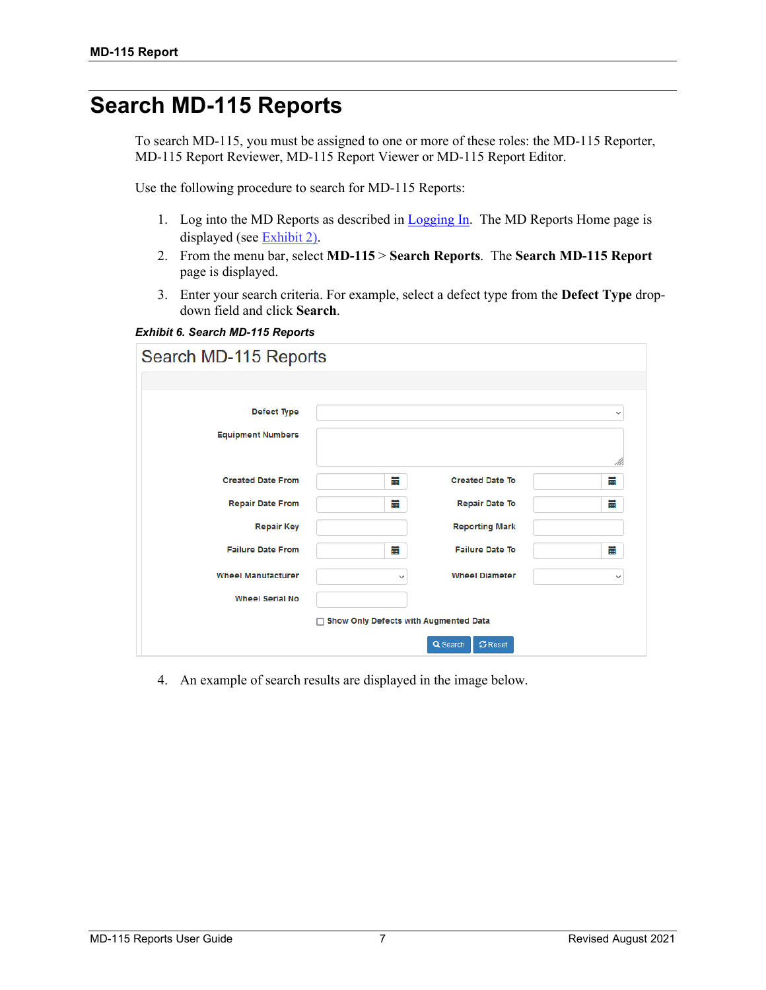## <span id="page-8-0"></span>**Search MD-115 Reports**

To search MD-115, you must be assigned to one or more of these roles: the MD-115 Reporter, MD-115 Report Reviewer, MD-115 Report Viewer or MD-115 Report Editor.

Use the following procedure to search for MD-115 Reports:

- 1. Log into the MD Reports as described in [Logging In.](#page-4-0) The MD Reports Home page is displayed (see [Exhibit 2\)](#page-5-2).
- 2. From the menu bar, select **MD-115** > **Search Reports**. The **Search MD-115 Report** page is displayed.
- 3. Enter your search criteria. For example, select a defect type from the **Defect Type** dropdown field and click **Search**.

<span id="page-8-1"></span>*Exhibit 6. Search MD-115 Reports*

| Search MD-115 Reports     |                                         |                        |              |
|---------------------------|-----------------------------------------|------------------------|--------------|
|                           |                                         |                        |              |
| Defect Type               |                                         |                        | $\checkmark$ |
| <b>Equipment Numbers</b>  |                                         |                        | M.           |
| <b>Created Date From</b>  | ≣                                       | <b>Created Date To</b> | 盖            |
| <b>Repair Date From</b>   | m                                       | <b>Repair Date To</b>  | 臝            |
| <b>Repair Key</b>         |                                         | <b>Reporting Mark</b>  |              |
| <b>Failure Date From</b>  | ≣                                       | <b>Failure Date To</b> | 臝            |
| <b>Wheel Manufacturer</b> | $\checkmark$                            | <b>Wheel Diameter</b>  | $\checkmark$ |
| <b>Wheel Serial No</b>    |                                         |                        |              |
|                           | □ Show Only Defects with Augmented Data |                        |              |
|                           |                                         | Q Search<br>$C$ Reset  |              |

4. An example of search results are displayed in the image below.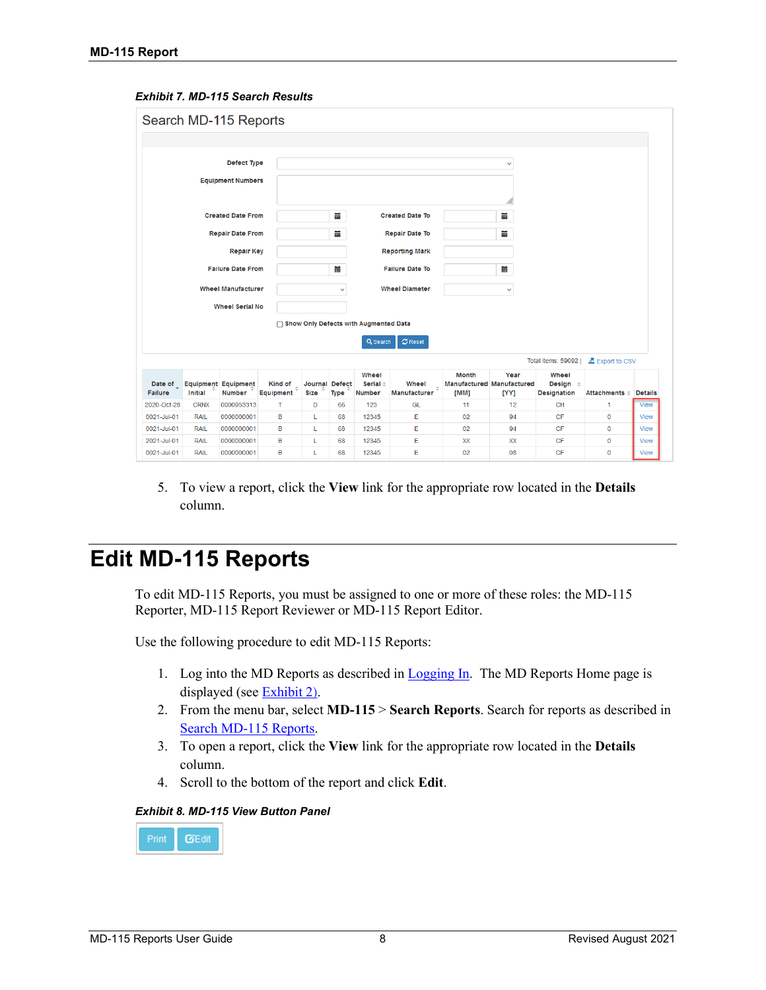#### <span id="page-9-1"></span>*Exhibit 7. MD-115 Search Results*

|                                                    |                            | Search MD-115 Reports                       |                      |                        |              |                                         |                        |                      |                                                  |                                                     |                       |                            |
|----------------------------------------------------|----------------------------|---------------------------------------------|----------------------|------------------------|--------------|-----------------------------------------|------------------------|----------------------|--------------------------------------------------|-----------------------------------------------------|-----------------------|----------------------------|
|                                                    |                            |                                             |                      |                        |              |                                         |                        |                      |                                                  |                                                     |                       |                            |
| Defect Type<br>$\checkmark$                        |                            |                                             |                      |                        |              |                                         |                        |                      |                                                  |                                                     |                       |                            |
|                                                    |                            |                                             |                      |                        |              |                                         |                        |                      |                                                  |                                                     |                       |                            |
|                                                    |                            | <b>Equipment Numbers</b>                    |                      |                        |              |                                         |                        |                      |                                                  |                                                     |                       |                            |
|                                                    |                            |                                             |                      |                        |              |                                         |                        |                      | //.                                              |                                                     |                       |                            |
|                                                    |                            | <b>Created Date From</b>                    |                      |                        | 旨            |                                         | <b>Created Date To</b> |                      | 葍                                                |                                                     |                       |                            |
|                                                    |                            | <b>Repair Date From</b>                     |                      |                        | 臝            |                                         | <b>Repair Date To</b>  |                      | 旨                                                |                                                     |                       |                            |
|                                                    |                            |                                             |                      |                        |              |                                         |                        |                      |                                                  |                                                     |                       |                            |
|                                                    |                            | <b>Repair Key</b>                           |                      |                        |              |                                         | <b>Reporting Mark</b>  |                      |                                                  |                                                     |                       |                            |
|                                                    |                            | <b>Failure Date From</b>                    |                      |                        | ₩            |                                         | <b>Failure Date To</b> |                      | Ħ                                                |                                                     |                       |                            |
| <b>Wheel Manufacturer</b><br><b>Wheel Diameter</b> |                            |                                             |                      |                        |              |                                         |                        |                      |                                                  |                                                     |                       |                            |
|                                                    |                            |                                             |                      |                        | $\checkmark$ |                                         |                        |                      | $\checkmark$                                     |                                                     |                       |                            |
|                                                    | <b>Wheel Serial No</b>     |                                             |                      |                        |              |                                         |                        |                      |                                                  |                                                     |                       |                            |
|                                                    |                            |                                             |                      |                        |              | □ Show Only Defects with Augmented Data |                        |                      |                                                  |                                                     |                       |                            |
|                                                    |                            |                                             |                      |                        |              | Q Search                                | $C$ Reset              |                      |                                                  |                                                     |                       |                            |
|                                                    |                            |                                             |                      |                        |              |                                         |                        |                      |                                                  | Total items: 59092                                  | Export to CSV         |                            |
| Date of<br>Failure                                 | <b>Initial</b>             | <b>Equipment Equipment</b><br><b>Number</b> | Kind of<br>Equipment | Journal Defect<br>Size | Type         | Wheel<br>Serial $=$<br><b>Number</b>    | Wheel<br>Manufacturer  | <b>Month</b><br>[MM] | Year<br><b>Manufactured Manufactured</b><br>[YY] | Wheel<br>Design $\Rightarrow$<br><b>Designation</b> | Attachments = Details |                            |
| 2020-Oct-28                                        | <b>CRNX</b>                | 0000953313                                  | т                    | D                      | 66           | 123                                     | GL                     | 11                   | 12                                               | CH                                                  | 1.                    | <b>View</b>                |
| 0021-Jul-01                                        | <b>RAIL</b>                | 0000000001                                  | B                    | Г                      | 68           | 12345                                   | E                      | 02                   | 94                                               | CF                                                  | $\mathbf 0$           | <b>View</b>                |
| 0021-Jul-01                                        | <b>RAIL</b>                | 0000000001                                  | B                    | Ĺ                      | 68           | 12345                                   | E                      | 02                   | 94                                               | CF                                                  | $\overline{0}$        | <b>View</b>                |
|                                                    |                            |                                             |                      |                        |              |                                         |                        |                      |                                                  |                                                     |                       |                            |
| 2021-Jul-01<br>0021-Jul-01                         | <b>RAIL</b><br><b>RAIL</b> | 0000000001<br>0000000001                    | B<br>B               | L<br>L                 | 68<br>68     | 12345<br>12345                          | E<br>E                 | XX<br>02             | XX<br>08                                         | CF<br><b>CF</b>                                     | 0<br>$\mathbf 0$      | <b>View</b><br><b>View</b> |

5. To view a report, click the **View** link for the appropriate row located in the **Details** column.

#### <span id="page-9-0"></span>**Edit MD-115 Reports**

To edit MD-115 Reports, you must be assigned to one or more of these roles: the MD-115 Reporter, MD-115 Report Reviewer or MD-115 Report Editor.

Use the following procedure to edit MD-115 Reports:

- 1. Log into the MD Reports as described in [Logging In.](#page-4-0) The MD Reports Home page is displayed (see [Exhibit 2\)](#page-5-2).
- 2. From the menu bar, select **MD-115** > **Search Reports**. Search for reports as described in [Search MD-115 Reports.](#page-8-0)
- 3. To open a report, click the **View** link for the appropriate row located in the **Details** column.
- 4. Scroll to the bottom of the report and click **Edit**.

#### <span id="page-9-2"></span>*Exhibit 8. MD-115 View Button Panel*

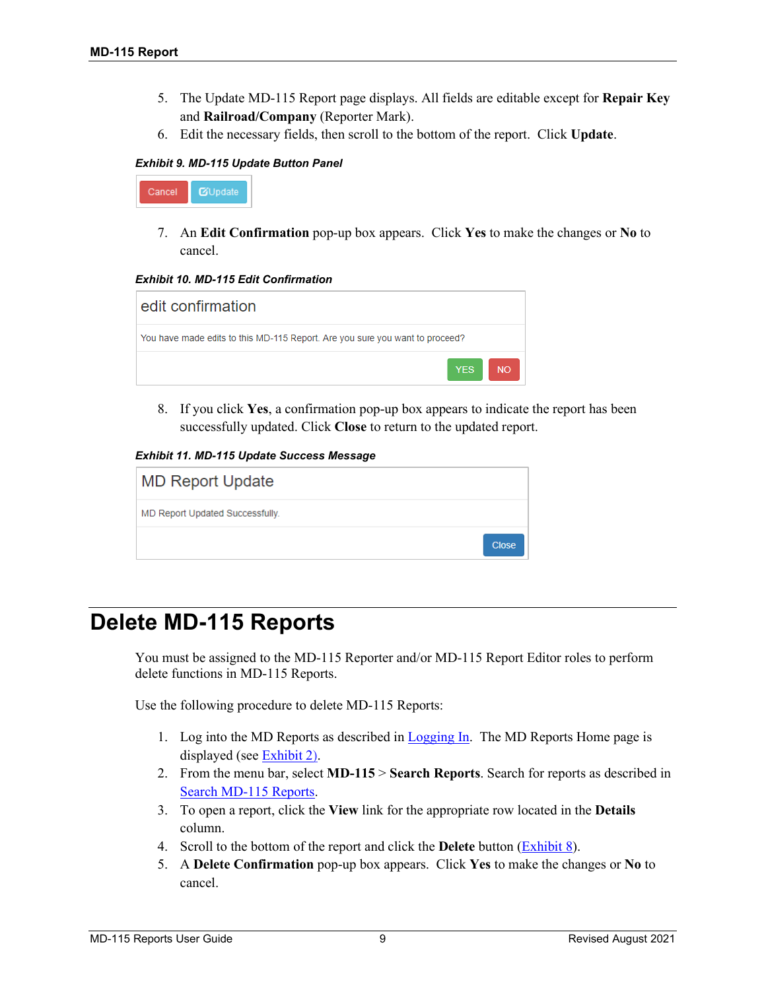- 5. The Update MD-115 Report page displays. All fields are editable except for **Repair Key** and **Railroad/Company** (Reporter Mark).
- 6. Edit the necessary fields, then scroll to the bottom of the report. Click **Update**.

#### <span id="page-10-1"></span>*Exhibit 9. MD-115 Update Button Panel*



7. An **Edit Confirmation** pop-up box appears. Click **Yes** to make the changes or **No** to cancel.

<span id="page-10-2"></span>*Exhibit 10. MD-115 Edit Confirmation*

| edit confirmation                                                            |           |
|------------------------------------------------------------------------------|-----------|
| You have made edits to this MD-115 Report. Are you sure you want to proceed? |           |
| <b>YES</b>                                                                   | <b>NO</b> |

8. If you click **Yes**, a confirmation pop-up box appears to indicate the report has been successfully updated. Click **Close** to return to the updated report.

<span id="page-10-3"></span>*Exhibit 11. MD-115 Update Success Message*

|                                 | <b>Close</b> |
|---------------------------------|--------------|
| MD Report Updated Successfully. |              |
| <b>MD Report Update</b>         |              |

#### <span id="page-10-0"></span>**Delete MD-115 Reports**

You must be assigned to the MD-115 Reporter and/or MD-115 Report Editor roles to perform delete functions in MD-115 Reports.

Use the following procedure to delete MD-115 Reports:

- 1. Log into the MD Reports as described in [Logging In.](#page-4-0) The MD Reports Home page is displayed (see [Exhibit 2\)](#page-5-2).
- 2. From the menu bar, select **MD-115** > **Search Reports**. Search for reports as described in [Search MD-115 Reports.](#page-8-0)
- 3. To open a report, click the **View** link for the appropriate row located in the **Details** column.
- 4. Scroll to the bottom of the report and click the **Delete** button (Exhibit 8).
- 5. A **Delete Confirmation** pop-up box appears. Click **Yes** to make the changes or **No** to cancel.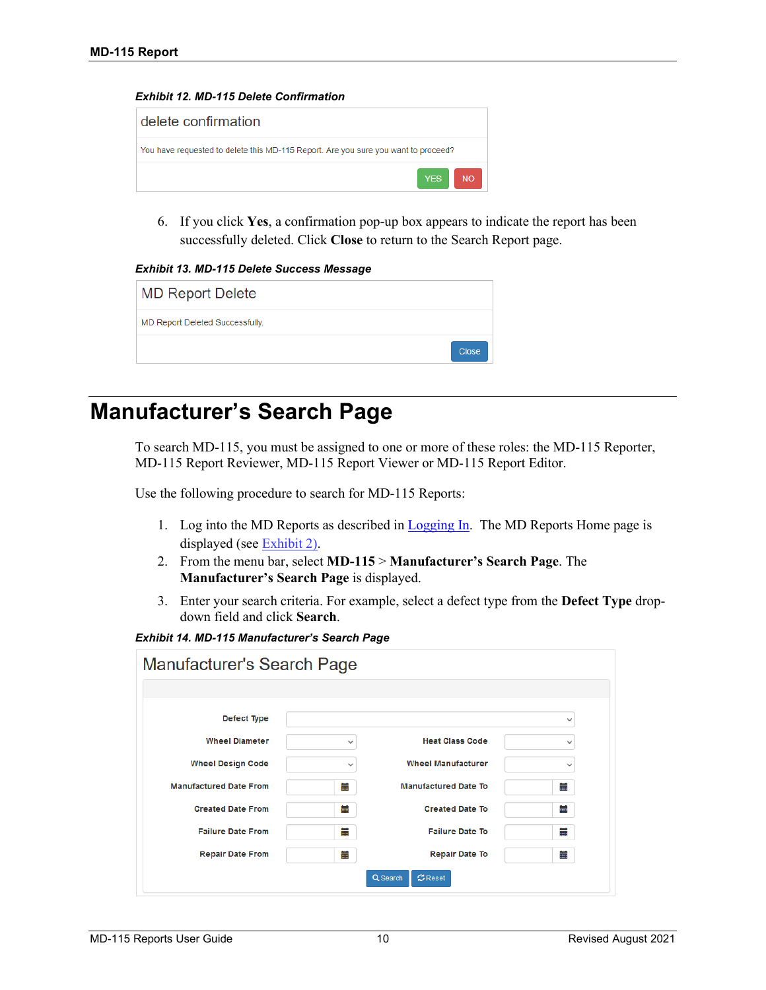<span id="page-11-1"></span>



6. If you click **Yes**, a confirmation pop-up box appears to indicate the report has been successfully deleted. Click **Close** to return to the Search Report page.

#### <span id="page-11-2"></span>*Exhibit 13. MD-115 Delete Success Message*

| <b>MD Report Delete</b>         |              |
|---------------------------------|--------------|
| MD Report Deleted Successfully. |              |
|                                 | <b>Close</b> |

## <span id="page-11-0"></span>**Manufacturer's Search Page**

To search MD-115, you must be assigned to one or more of these roles: the MD-115 Reporter, MD-115 Report Reviewer, MD-115 Report Viewer or MD-115 Report Editor.

Use the following procedure to search for MD-115 Reports:

- 1. Log into the MD Reports as described in [Logging In.](#page-4-0) The MD Reports Home page is displayed (see [Exhibit 2\)](#page-5-2).
- 2. From the menu bar, select **MD-115** > **Manufacturer's Search Page**. The **Manufacturer's Search Page** is displayed.
- 3. Enter your search criteria. For example, select a defect type from the **Defect Type** dropdown field and click **Search**.

<span id="page-11-3"></span>*Exhibit 14. MD-115 Manufacturer's Search Page* 

| Manufacturer's Search Page    |              |                             |              |
|-------------------------------|--------------|-----------------------------|--------------|
|                               |              |                             |              |
| Defect Type                   |              |                             | $\checkmark$ |
| <b>Wheel Diameter</b>         | $\checkmark$ | <b>Heat Class Code</b>      | $\checkmark$ |
| <b>Wheel Design Code</b>      | $\checkmark$ | <b>Wheel Manufacturer</b>   | $\checkmark$ |
| <b>Manufactured Date From</b> | Ħ            | <b>Manufactured Date To</b> | ≣            |
| <b>Created Date From</b>      | ₩            | <b>Created Date To</b>      | ₩            |
| <b>Failure Date From</b>      | ≣            | <b>Failure Date To</b>      | ≣            |
| <b>Repair Date From</b>       | ≣            | <b>Repair Date To</b>       | ≣            |
|                               |              | Q Search<br>$C$ Reset       |              |